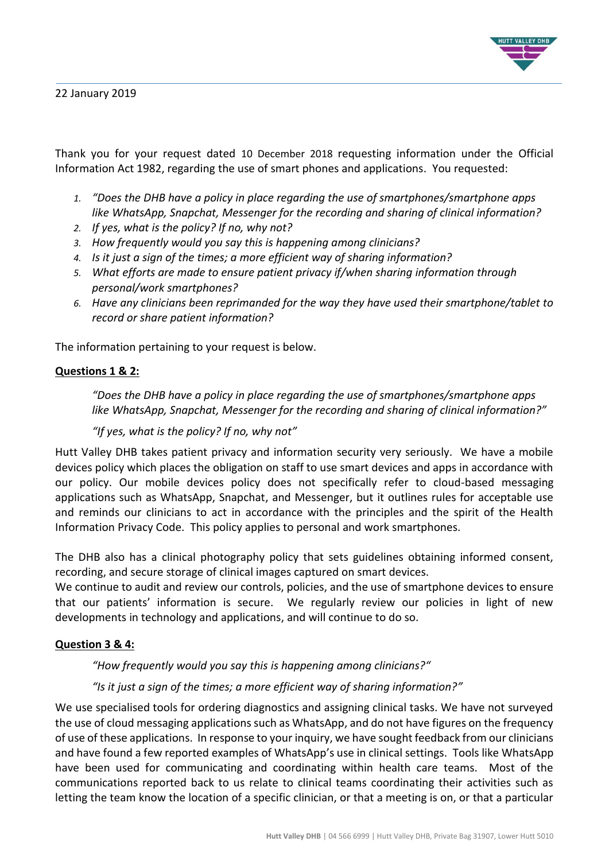

22 January 2019

Thank you for your request dated 10 December 2018 requesting information under the Official Information Act 1982, regarding the use of smart phones and applications. You requested:

- *1. "Does the DHB have a policy in place regarding the use of smartphones/smartphone apps like WhatsApp, Snapchat, Messenger for the recording and sharing of clinical information?*
- *2. If yes, what is the policy? If no, why not?*
- *3. How frequently would you say this is happening among clinicians?*
- *4. Is it just a sign of the times; a more efficient way of sharing information?*
- *5. What efforts are made to ensure patient privacy if/when sharing information through personal/work smartphones?*
- *6. Have any clinicians been reprimanded for the way they have used their smartphone/tablet to record or share patient information?*

The information pertaining to your request is below.

### **Questions 1 & 2:**

*"Does the DHB have a policy in place regarding the use of smartphones/smartphone apps like WhatsApp, Snapchat, Messenger for the recording and sharing of clinical information?"*

#### *"If yes, what is the policy? If no, why not"*

Hutt Valley DHB takes patient privacy and information security very seriously. We have a mobile devices policy which places the obligation on staff to use smart devices and apps in accordance with our policy. Our mobile devices policy does not specifically refer to cloud-based messaging applications such as WhatsApp, Snapchat, and Messenger, but it outlines rules for acceptable use and reminds our clinicians to act in accordance with the principles and the spirit of the Health Information Privacy Code. This policy applies to personal and work smartphones.

The DHB also has a clinical photography policy that sets guidelines obtaining informed consent, recording, and secure storage of clinical images captured on smart devices.

We continue to audit and review our controls, policies, and the use of smartphone devices to ensure that our patients' information is secure. We regularly review our policies in light of new developments in technology and applications, and will continue to do so.

#### **Question 3 & 4:**

*"How frequently would you say this is happening among clinicians?"*

#### *"Is it just a sign of the times; a more efficient way of sharing information?"*

We use specialised tools for ordering diagnostics and assigning clinical tasks. We have not surveyed the use of cloud messaging applications such as WhatsApp, and do not have figures on the frequency of use of these applications. In response to your inquiry, we have sought feedback from our clinicians and have found a few reported examples of WhatsApp's use in clinical settings. Tools like WhatsApp have been used for communicating and coordinating within health care teams. Most of the communications reported back to us relate to clinical teams coordinating their activities such as letting the team know the location of a specific clinician, or that a meeting is on, or that a particular